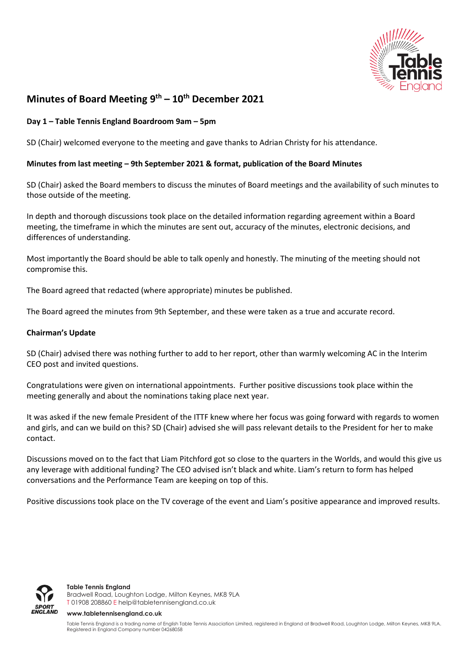

# **Minutes of Board Meeting 9 th – 10th December 2021**

## **Day 1 – Table Tennis England Boardroom 9am – 5pm**

SD (Chair) welcomed everyone to the meeting and gave thanks to Adrian Christy for his attendance.

### **Minutes from last meeting – 9th September 2021 & format, publication of the Board Minutes**

SD (Chair) asked the Board members to discuss the minutes of Board meetings and the availability of such minutes to those outside of the meeting.

In depth and thorough discussions took place on the detailed information regarding agreement within a Board meeting, the timeframe in which the minutes are sent out, accuracy of the minutes, electronic decisions, and differences of understanding.

Most importantly the Board should be able to talk openly and honestly. The minuting of the meeting should not compromise this.

The Board agreed that redacted (where appropriate) minutes be published.

The Board agreed the minutes from 9th September, and these were taken as a true and accurate record.

### **Chairman's Update**

SD (Chair) advised there was nothing further to add to her report, other than warmly welcoming AC in the Interim CEO post and invited questions.

Congratulations were given on international appointments. Further positive discussions took place within the meeting generally and about the nominations taking place next year.

It was asked if the new female President of the ITTF knew where her focus was going forward with regards to women and girls, and can we build on this? SD (Chair) advised she will pass relevant details to the President for her to make contact.

Discussions moved on to the fact that Liam Pitchford got so close to the quarters in the Worlds, and would this give us any leverage with additional funding? The CEO advised isn't black and white. Liam's return to form has helped conversations and the Performance Team are keeping on top of this.

Positive discussions took place on the TV coverage of the event and Liam's positive appearance and improved results.



**Table Tennis England** Bradwell Road, Loughton Lodge, Milton Keynes, MK8 9LA T 01908 208860 [E help@tabletennisengland.co.uk](mailto:help@tabletennisengland.co.uk)

#### **[www.tabletennisengland.co.uk](http://www.tabletennisengland.co.uk/)**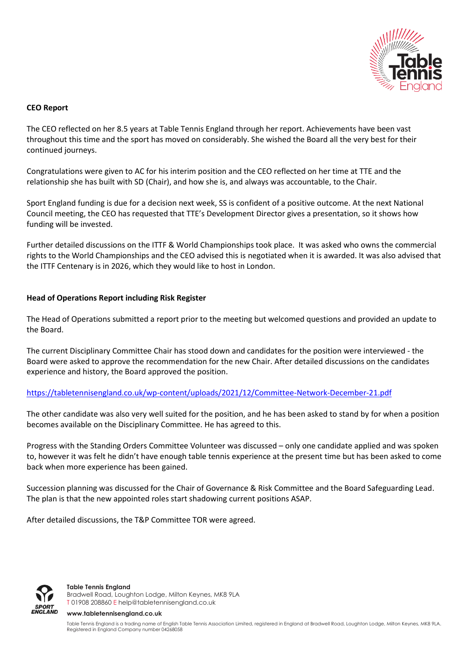

## **CEO Report**

The CEO reflected on her 8.5 years at Table Tennis England through her report. Achievements have been vast throughout this time and the sport has moved on considerably. She wished the Board all the very best for their continued journeys.

Congratulations were given to AC for his interim position and the CEO reflected on her time at TTE and the relationship she has built with SD (Chair), and how she is, and always was accountable, to the Chair.

Sport England funding is due for a decision next week, SS is confident of a positive outcome. At the next National Council meeting, the CEO has requested that TTE's Development Director gives a presentation, so it shows how funding will be invested.

Further detailed discussions on the ITTF & World Championships took place. It was asked who owns the commercial rights to the World Championships and the CEO advised this is negotiated when it is awarded. It was also advised that the ITTF Centenary is in 2026, which they would like to host in London.

### **Head of Operations Report including Risk Register**

The Head of Operations submitted a report prior to the meeting but welcomed questions and provided an update to the Board.

The current Disciplinary Committee Chair has stood down and candidates for the position were interviewed - the Board were asked to approve the recommendation for the new Chair. After detailed discussions on the candidates experience and history, the Board approved the position.

<https://tabletennisengland.co.uk/wp-content/uploads/2021/12/Committee-Network-December-21.pdf>

The other candidate was also very well suited for the position, and he has been asked to stand by for when a position becomes available on the Disciplinary Committee. He has agreed to this.

Progress with the Standing Orders Committee Volunteer was discussed – only one candidate applied and was spoken to, however it was felt he didn't have enough table tennis experience at the present time but has been asked to come back when more experience has been gained.

Succession planning was discussed for the Chair of Governance & Risk Committee and the Board Safeguarding Lead. The plan is that the new appointed roles start shadowing current positions ASAP.

After detailed discussions, the T&P Committee TOR were agreed.



**Table Tennis England** Bradwell Road, Loughton Lodge, Milton Keynes, MK8 9LA T 01908 208860 [E help@tabletennisengland.co.uk](mailto:help@tabletennisengland.co.uk)

#### **[www.tabletennisengland.co.uk](http://www.tabletennisengland.co.uk/)**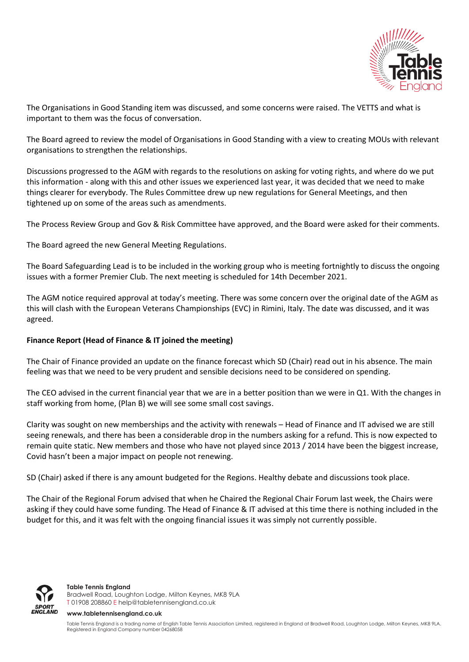

The Organisations in Good Standing item was discussed, and some concerns were raised. The VETTS and what is important to them was the focus of conversation.

The Board agreed to review the model of Organisations in Good Standing with a view to creating MOUs with relevant organisations to strengthen the relationships.

Discussions progressed to the AGM with regards to the resolutions on asking for voting rights, and where do we put this information - along with this and other issues we experienced last year, it was decided that we need to make things clearer for everybody. The Rules Committee drew up new regulations for General Meetings, and then tightened up on some of the areas such as amendments.

The Process Review Group and Gov & Risk Committee have approved, and the Board were asked for their comments.

The Board agreed the new General Meeting Regulations.

The Board Safeguarding Lead is to be included in the working group who is meeting fortnightly to discuss the ongoing issues with a former Premier Club. The next meeting is scheduled for 14th December 2021.

The AGM notice required approval at today's meeting. There was some concern over the original date of the AGM as this will clash with the European Veterans Championships (EVC) in Rimini, Italy. The date was discussed, and it was agreed.

### **Finance Report (Head of Finance & IT joined the meeting)**

The Chair of Finance provided an update on the finance forecast which SD (Chair) read out in his absence. The main feeling was that we need to be very prudent and sensible decisions need to be considered on spending.

The CEO advised in the current financial year that we are in a better position than we were in Q1. With the changes in staff working from home, (Plan B) we will see some small cost savings.

Clarity was sought on new memberships and the activity with renewals – Head of Finance and IT advised we are still seeing renewals, and there has been a considerable drop in the numbers asking for a refund. This is now expected to remain quite static. New members and those who have not played since 2013 / 2014 have been the biggest increase, Covid hasn't been a major impact on people not renewing.

SD (Chair) asked if there is any amount budgeted for the Regions. Healthy debate and discussions took place.

The Chair of the Regional Forum advised that when he Chaired the Regional Chair Forum last week, the Chairs were asking if they could have some funding. The Head of Finance & IT advised at this time there is nothing included in the budget for this, and it was felt with the ongoing financial issues it was simply not currently possible.



**Table Tennis England** Bradwell Road, Loughton Lodge, Milton Keynes, MK8 9LA T 01908 208860 [E help@tabletennisengland.co.uk](mailto:help@tabletennisengland.co.uk)

#### **[www.tabletennisengland.co.uk](http://www.tabletennisengland.co.uk/)**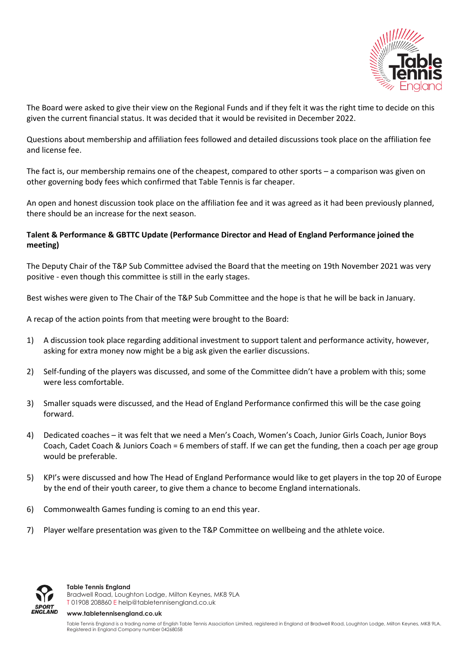

The Board were asked to give their view on the Regional Funds and if they felt it was the right time to decide on this given the current financial status. It was decided that it would be revisited in December 2022.

Questions about membership and affiliation fees followed and detailed discussions took place on the affiliation fee and license fee.

The fact is, our membership remains one of the cheapest, compared to other sports – a comparison was given on other governing body fees which confirmed that Table Tennis is far cheaper.

An open and honest discussion took place on the affiliation fee and it was agreed as it had been previously planned, there should be an increase for the next season.

# **Talent & Performance & GBTTC Update (Performance Director and Head of England Performance joined the meeting)**

The Deputy Chair of the T&P Sub Committee advised the Board that the meeting on 19th November 2021 was very positive - even though this committee is still in the early stages.

Best wishes were given to The Chair of the T&P Sub Committee and the hope is that he will be back in January.

A recap of the action points from that meeting were brought to the Board:

- 1) A discussion took place regarding additional investment to support talent and performance activity, however, asking for extra money now might be a big ask given the earlier discussions.
- 2) Self-funding of the players was discussed, and some of the Committee didn't have a problem with this; some were less comfortable.
- 3) Smaller squads were discussed, and the Head of England Performance confirmed this will be the case going forward.
- 4) Dedicated coaches it was felt that we need a Men's Coach, Women's Coach, Junior Girls Coach, Junior Boys Coach, Cadet Coach & Juniors Coach = 6 members of staff. If we can get the funding, then a coach per age group would be preferable.
- 5) KPI's were discussed and how The Head of England Performance would like to get players in the top 20 of Europe by the end of their youth career, to give them a chance to become England internationals.
- 6) Commonwealth Games funding is coming to an end this year.
- 7) Player welfare presentation was given to the T&P Committee on wellbeing and the athlete voice.



#### **Table Tennis England**

Bradwell Road, Loughton Lodge, Milton Keynes, MK8 9LA T 01908 208860 [E help@tabletennisengland.co.uk](mailto:help@tabletennisengland.co.uk)

#### **[www.tabletennisengland.co.uk](http://www.tabletennisengland.co.uk/)**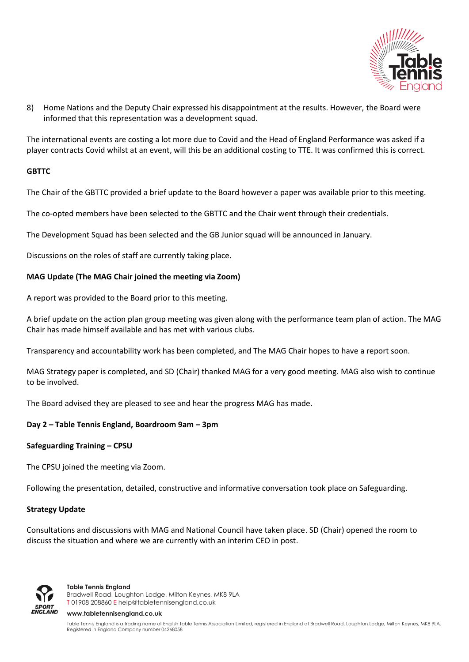

8) Home Nations and the Deputy Chair expressed his disappointment at the results. However, the Board were informed that this representation was a development squad.

The international events are costing a lot more due to Covid and the Head of England Performance was asked if a player contracts Covid whilst at an event, will this be an additional costing to TTE. It was confirmed this is correct.

### **GBTTC**

The Chair of the GBTTC provided a brief update to the Board however a paper was available prior to this meeting.

The co-opted members have been selected to the GBTTC and the Chair went through their credentials.

The Development Squad has been selected and the GB Junior squad will be announced in January.

Discussions on the roles of staff are currently taking place.

### **MAG Update (The MAG Chair joined the meeting via Zoom)**

A report was provided to the Board prior to this meeting.

A brief update on the action plan group meeting was given along with the performance team plan of action. The MAG Chair has made himself available and has met with various clubs.

Transparency and accountability work has been completed, and The MAG Chair hopes to have a report soon.

MAG Strategy paper is completed, and SD (Chair) thanked MAG for a very good meeting. MAG also wish to continue to be involved.

The Board advised they are pleased to see and hear the progress MAG has made.

### **Day 2 – Table Tennis England, Boardroom 9am – 3pm**

### **Safeguarding Training – CPSU**

The CPSU joined the meeting via Zoom.

Following the presentation, detailed, constructive and informative conversation took place on Safeguarding.

### **Strategy Update**

Consultations and discussions with MAG and National Council have taken place. SD (Chair) opened the room to discuss the situation and where we are currently with an interim CEO in post.



**Table Tennis England** Bradwell Road, Loughton Lodge, Milton Keynes, MK8 9LA T 01908 208860 [E help@tabletennisengland.co.uk](mailto:help@tabletennisengland.co.uk)

#### **[www.tabletennisengland.co.uk](http://www.tabletennisengland.co.uk/)**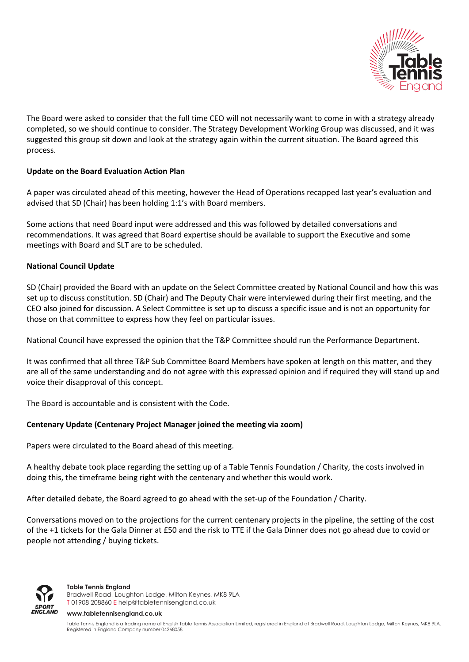

The Board were asked to consider that the full time CEO will not necessarily want to come in with a strategy already completed, so we should continue to consider. The Strategy Development Working Group was discussed, and it was suggested this group sit down and look at the strategy again within the current situation. The Board agreed this process.

## **Update on the Board Evaluation Action Plan**

A paper was circulated ahead of this meeting, however the Head of Operations recapped last year's evaluation and advised that SD (Chair) has been holding 1:1's with Board members.

Some actions that need Board input were addressed and this was followed by detailed conversations and recommendations. It was agreed that Board expertise should be available to support the Executive and some meetings with Board and SLT are to be scheduled.

### **National Council Update**

SD (Chair) provided the Board with an update on the Select Committee created by National Council and how this was set up to discuss constitution. SD (Chair) and The Deputy Chair were interviewed during their first meeting, and the CEO also joined for discussion. A Select Committee is set up to discuss a specific issue and is not an opportunity for those on that committee to express how they feel on particular issues.

National Council have expressed the opinion that the T&P Committee should run the Performance Department.

It was confirmed that all three T&P Sub Committee Board Members have spoken at length on this matter, and they are all of the same understanding and do not agree with this expressed opinion and if required they will stand up and voice their disapproval of this concept.

The Board is accountable and is consistent with the Code.

# **Centenary Update (Centenary Project Manager joined the meeting via zoom)**

Papers were circulated to the Board ahead of this meeting.

A healthy debate took place regarding the setting up of a Table Tennis Foundation / Charity, the costs involved in doing this, the timeframe being right with the centenary and whether this would work.

After detailed debate, the Board agreed to go ahead with the set-up of the Foundation / Charity.

Conversations moved on to the projections for the current centenary projects in the pipeline, the setting of the cost of the +1 tickets for the Gala Dinner at £50 and the risk to TTE if the Gala Dinner does not go ahead due to covid or people not attending / buying tickets.



**Table Tennis England** Bradwell Road, Loughton Lodge, Milton Keynes, MK8 9LA T 01908 208860 [E help@tabletennisengland.co.uk](mailto:help@tabletennisengland.co.uk)

**[www.tabletennisengland.co.uk](http://www.tabletennisengland.co.uk/)**